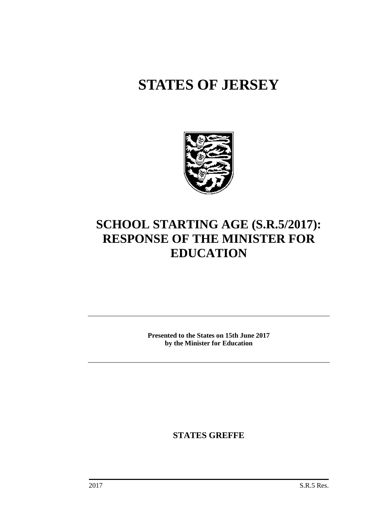# **STATES OF JERSEY**



## **SCHOOL STARTING AGE (S.R.5/2017): RESPONSE OF THE MINISTER FOR EDUCATION**

**Presented to the States on 15th June 2017 by the Minister for Education**

**STATES GREFFE**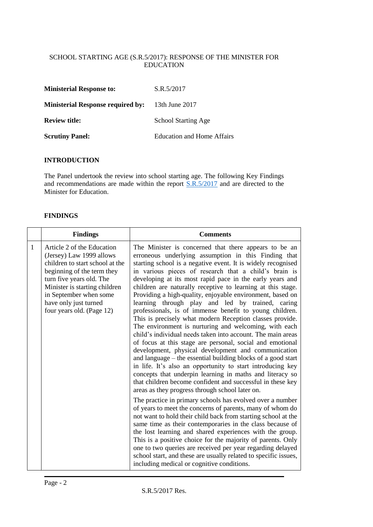#### SCHOOL STARTING AGE (S.R.5/2017): RESPONSE OF THE MINISTER FOR EDUCATION

| <b>Ministerial Response to:</b>          | S.R.5/2017                 |
|------------------------------------------|----------------------------|
| <b>Ministerial Response required by:</b> | 13th June 2017             |
| <b>Review title:</b>                     | <b>School Starting Age</b> |
| <b>Scrutiny Panel:</b>                   | Education and Home Affairs |

#### **INTRODUCTION**

The Panel undertook the review into school starting age. The following Key Findings and recommendations are made within the report  $S.R.5/2017$  and are directed to the Minister for Education.

#### **FINDINGS**

|              | <b>Findings</b>                                                                                                                                                                                                                                                      | <b>Comments</b>                                                                                                                                                                                                                                                                                                                                                                                                                                                                                                                                                                                                                                                                                                                                                                                                                                                                                                                                                                                                                                                                                                                                                                                                                                                                                                                                                                                                                                                                                                                                                                                                                                                                                                                    |
|--------------|----------------------------------------------------------------------------------------------------------------------------------------------------------------------------------------------------------------------------------------------------------------------|------------------------------------------------------------------------------------------------------------------------------------------------------------------------------------------------------------------------------------------------------------------------------------------------------------------------------------------------------------------------------------------------------------------------------------------------------------------------------------------------------------------------------------------------------------------------------------------------------------------------------------------------------------------------------------------------------------------------------------------------------------------------------------------------------------------------------------------------------------------------------------------------------------------------------------------------------------------------------------------------------------------------------------------------------------------------------------------------------------------------------------------------------------------------------------------------------------------------------------------------------------------------------------------------------------------------------------------------------------------------------------------------------------------------------------------------------------------------------------------------------------------------------------------------------------------------------------------------------------------------------------------------------------------------------------------------------------------------------------|
| $\mathbf{1}$ | Article 2 of the Education<br>(Jersey) Law 1999 allows<br>children to start school at the<br>beginning of the term they<br>turn five years old. The<br>Minister is starting children<br>in September when some<br>have only just turned<br>four years old. (Page 12) | The Minister is concerned that there appears to be an<br>erroneous underlying assumption in this Finding that<br>starting school is a negative event. It is widely recognised<br>in various pieces of research that a child's brain is<br>developing at its most rapid pace in the early years and<br>children are naturally receptive to learning at this stage.<br>Providing a high-quality, enjoyable environment, based on<br>learning through play and led by trained, caring<br>professionals, is of immense benefit to young children.<br>This is precisely what modern Reception classes provide.<br>The environment is nurturing and welcoming, with each<br>child's individual needs taken into account. The main areas<br>of focus at this stage are personal, social and emotional<br>development, physical development and communication<br>and language – the essential building blocks of a good start<br>in life. It's also an opportunity to start introducing key<br>concepts that underpin learning in maths and literacy so<br>that children become confident and successful in these key<br>areas as they progress through school later on.<br>The practice in primary schools has evolved over a number<br>of years to meet the concerns of parents, many of whom do<br>not want to hold their child back from starting school at the<br>same time as their contemporaries in the class because of<br>the lost learning and shared experiences with the group.<br>This is a positive choice for the majority of parents. Only<br>one to two queries are received per year regarding delayed<br>school start, and these are usually related to specific issues,<br>including medical or cognitive conditions. |
|              |                                                                                                                                                                                                                                                                      |                                                                                                                                                                                                                                                                                                                                                                                                                                                                                                                                                                                                                                                                                                                                                                                                                                                                                                                                                                                                                                                                                                                                                                                                                                                                                                                                                                                                                                                                                                                                                                                                                                                                                                                                    |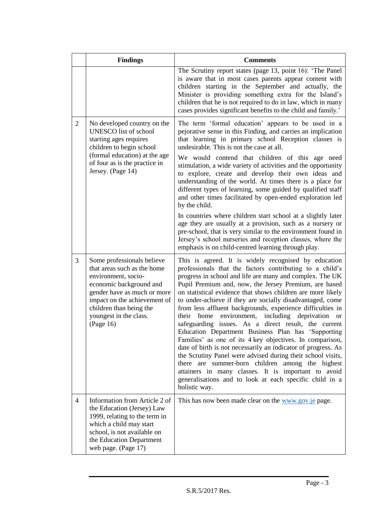|                | <b>Findings</b>                                                                                                                                                                                                                              | <b>Comments</b>                                                                                                                                                                                                                                                                                                                                                                                                                                                                                                                                                                                                                                                                                                                                                                                                                                                                                                                                                                                            |
|----------------|----------------------------------------------------------------------------------------------------------------------------------------------------------------------------------------------------------------------------------------------|------------------------------------------------------------------------------------------------------------------------------------------------------------------------------------------------------------------------------------------------------------------------------------------------------------------------------------------------------------------------------------------------------------------------------------------------------------------------------------------------------------------------------------------------------------------------------------------------------------------------------------------------------------------------------------------------------------------------------------------------------------------------------------------------------------------------------------------------------------------------------------------------------------------------------------------------------------------------------------------------------------|
|                |                                                                                                                                                                                                                                              | The Scrutiny report states (page 13, point 16): 'The Panel<br>is aware that in most cases parents appear content with<br>children starting in the September and actually, the<br>Minister is providing something extra for the Island's<br>children that he is not required to do in law, which in many<br>cases provides significant benefits to the child and family.'                                                                                                                                                                                                                                                                                                                                                                                                                                                                                                                                                                                                                                   |
| $\overline{2}$ | No developed country on the<br><b>UNESCO</b> list of school<br>starting ages requires<br>children to begin school<br>(formal education) at the age<br>of four as is the practice in<br>Jersey. (Page 14)                                     | The term 'formal education' appears to be used in a<br>pejorative sense in this Finding, and carries an implication<br>that learning in primary school Reception classes is<br>undesirable. This is not the case at all.<br>We would contend that children of this age need<br>stimulation, a wide variety of activities and the opportunity<br>to explore, create and develop their own ideas and<br>understanding of the world. At times there is a place for<br>different types of learning, some guided by qualified staff<br>and other times facilitated by open-ended exploration led<br>by the child.<br>In countries where children start school at a slightly later<br>age they are usually at a provision, such as a nursery or<br>pre-school, that is very similar to the environment found in                                                                                                                                                                                                  |
|                |                                                                                                                                                                                                                                              | Jersey's school nurseries and reception classes, where the<br>emphasis is on child-centred learning through play.                                                                                                                                                                                                                                                                                                                                                                                                                                                                                                                                                                                                                                                                                                                                                                                                                                                                                          |
| 3              | Some professionals believe<br>that areas such as the home<br>environment, socio-<br>economic background and<br>gender have as much or more<br>impact on the achievement of<br>children than being the<br>youngest in the class.<br>(Page 16) | This is agreed. It is widely recognised by education<br>professionals that the factors contributing to a child's<br>progress in school and life are many and complex. The UK<br>Pupil Premium and, now, the Jersey Premium, are based<br>on statistical evidence that shows children are more likely<br>to under-achieve if they are socially disadvantaged, come<br>from less affluent backgrounds, experience difficulties in<br>environment,<br>including<br>their<br>home<br>deprivation<br><b>or</b><br>safeguarding issues. As a direct result, the current<br>Education Department Business Plan has 'Supporting<br>Families' as one of its 4 key objectives. In comparison,<br>date of birth is not necessarily an indicator of progress. As<br>the Scrutiny Panel were advised during their school visits,<br>there are summer-born children among the highest<br>attainers in many classes. It is important to avoid<br>generalisations and to look at each specific child in a<br>holistic way. |
| 4              | Information from Article 2 of<br>the Education (Jersey) Law<br>1999, relating to the term in<br>which a child may start<br>school, is not available on<br>the Education Department<br>web page. (Page 17)                                    | This has now been made clear on the www.gov.je page.                                                                                                                                                                                                                                                                                                                                                                                                                                                                                                                                                                                                                                                                                                                                                                                                                                                                                                                                                       |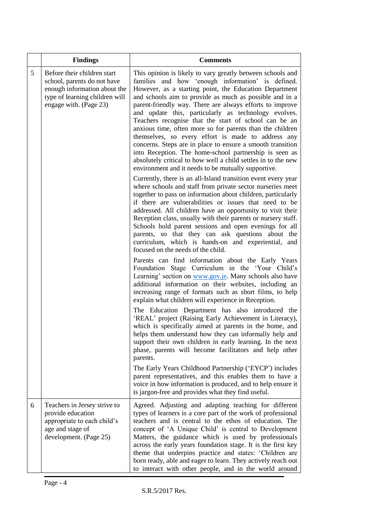|   | <b>Findings</b>                                                                                                                                        | <b>Comments</b>                                                                                                                                                                                                                                                                                                                                                                                                                                                                                                                                                                                                                                                                                                                                                                      |
|---|--------------------------------------------------------------------------------------------------------------------------------------------------------|--------------------------------------------------------------------------------------------------------------------------------------------------------------------------------------------------------------------------------------------------------------------------------------------------------------------------------------------------------------------------------------------------------------------------------------------------------------------------------------------------------------------------------------------------------------------------------------------------------------------------------------------------------------------------------------------------------------------------------------------------------------------------------------|
| 5 | Before their children start<br>school, parents do not have<br>enough information about the<br>type of learning children will<br>engage with. (Page 23) | This opinion is likely to vary greatly between schools and<br>families and how 'enough information' is defined.<br>However, as a starting point, the Education Department<br>and schools aim to provide as much as possible and in a<br>parent-friendly way. There are always efforts to improve<br>and update this, particularly as technology evolves.<br>Teachers recognise that the start of school can be an<br>anxious time, often more so for parents than the children<br>themselves, so every effort is made to address any<br>concerns. Steps are in place to ensure a smooth transition<br>into Reception. The home-school partnership is seen as<br>absolutely critical to how well a child settles in to the new<br>environment and it needs to be mutually supportive. |
|   |                                                                                                                                                        | Currently, there is an all-Island transition event every year<br>where schools and staff from private sector nurseries meet<br>together to pass on information about children, particularly<br>if there are vulnerabilities or issues that need to be<br>addressed. All children have an opportunity to visit their<br>Reception class, usually with their parents or nursery staff.<br>Schools hold parent sessions and open evenings for all<br>parents, so that they can ask questions about the<br>curriculum, which is hands-on and experiential, and<br>focused on the needs of the child.                                                                                                                                                                                     |
|   |                                                                                                                                                        | Parents can find information about the Early Years<br>Foundation Stage Curriculum in the 'Your Child's<br>Learning' section on www.gov.je. Many schools also have<br>additional information on their websites, including an<br>increasing range of formats such as short films, to help<br>explain what children will experience in Reception.                                                                                                                                                                                                                                                                                                                                                                                                                                       |
|   |                                                                                                                                                        | The Education Department has also introduced the<br>'REAL' project (Raising Early Achievement in Literacy),<br>which is specifically aimed at parents in the home, and<br>helps them understand how they can informally help and<br>support their own children in early learning. In the next<br>phase, parents will become facilitators and help other<br>parents.                                                                                                                                                                                                                                                                                                                                                                                                                  |
|   |                                                                                                                                                        | The Early Years Childhood Partnership ('EYCP') includes<br>parent representatives, and this enables them to have a<br>voice in how information is produced, and to help ensure it<br>is jargon-free and provides what they find useful.                                                                                                                                                                                                                                                                                                                                                                                                                                                                                                                                              |
| 6 | Teachers in Jersey strive to<br>provide education<br>appropriate to each child's<br>age and stage of<br>development. (Page 25)                         | Agreed. Adjusting and adapting teaching for different<br>types of learners is a core part of the work of professional<br>teachers and is central to the ethos of education. The<br>concept of 'A Unique Child' is central to Development<br>Matters, the guidance which is used by professionals<br>across the early years foundation stage. It is the first key<br>theme that underpins practice and states: 'Children are<br>born ready, able and eager to learn. They actively reach out<br>to interact with other people, and in the world around                                                                                                                                                                                                                                |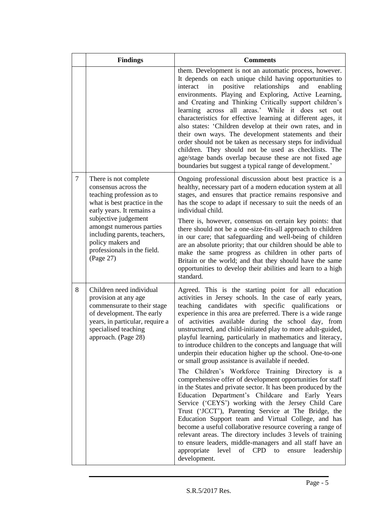|                | <b>Findings</b>                                                                                                                                                                                                                                                                              | <b>Comments</b>                                                                                                                                                                                                                                                                                                                                                                                                                                                                                                                                                                                                                                                                                                                                                                                                                                                                                                                                                                                                                                                                                                                                                                                                                                                                                               |
|----------------|----------------------------------------------------------------------------------------------------------------------------------------------------------------------------------------------------------------------------------------------------------------------------------------------|---------------------------------------------------------------------------------------------------------------------------------------------------------------------------------------------------------------------------------------------------------------------------------------------------------------------------------------------------------------------------------------------------------------------------------------------------------------------------------------------------------------------------------------------------------------------------------------------------------------------------------------------------------------------------------------------------------------------------------------------------------------------------------------------------------------------------------------------------------------------------------------------------------------------------------------------------------------------------------------------------------------------------------------------------------------------------------------------------------------------------------------------------------------------------------------------------------------------------------------------------------------------------------------------------------------|
|                |                                                                                                                                                                                                                                                                                              | them. Development is not an automatic process, however.<br>It depends on each unique child having opportunities to<br>positive<br>relationships<br>and<br>interact<br>in<br>enabling<br>environments. Playing and Exploring, Active Learning,<br>and Creating and Thinking Critically support children's<br>learning across all areas.' While it does set out<br>characteristics for effective learning at different ages, it<br>also states: 'Children develop at their own rates, and in<br>their own ways. The development statements and their<br>order should not be taken as necessary steps for individual<br>children. They should not be used as checklists. The<br>age/stage bands overlap because these are not fixed age<br>boundaries but suggest a typical range of development.'                                                                                                                                                                                                                                                                                                                                                                                                                                                                                                               |
| $\overline{7}$ | There is not complete<br>consensus across the<br>teaching profession as to<br>what is best practice in the<br>early years. It remains a<br>subjective judgement<br>amongst numerous parties<br>including parents, teachers,<br>policy makers and<br>professionals in the field.<br>(Page 27) | Ongoing professional discussion about best practice is a<br>healthy, necessary part of a modern education system at all<br>stages, and ensures that practice remains responsive and<br>has the scope to adapt if necessary to suit the needs of an<br>individual child.<br>There is, however, consensus on certain key points: that<br>there should not be a one-size-fits-all approach to children<br>in our care; that safeguarding and well-being of children<br>are an absolute priority; that our children should be able to<br>make the same progress as children in other parts of<br>Britain or the world; and that they should have the same<br>opportunities to develop their abilities and learn to a high<br>standard.                                                                                                                                                                                                                                                                                                                                                                                                                                                                                                                                                                            |
| 8              | Children need individual<br>provision at any age<br>commensurate to their stage<br>of development. The early<br>years, in particular, require a<br>specialised teaching<br>approach. (Page 28)                                                                                               | Agreed. This is the starting point for all education<br>activities in Jersey schools. In the case of early years,<br>teaching candidates with specific qualifications<br><b>or</b><br>experience in this area are preferred. There is a wide range<br>of activities available during the school day, from<br>unstructured, and child-initiated play to more adult-guided,<br>playful learning, particularly in mathematics and literacy,<br>to introduce children to the concepts and language that will<br>underpin their education higher up the school. One-to-one<br>or small group assistance is available if needed.<br>The Children's Workforce Training Directory is a<br>comprehensive offer of development opportunities for staff<br>in the States and private sector. It has been produced by the<br>Education Department's Childcare and Early Years<br>Service ('CEYS') working with the Jersey Child Care<br>Trust ('JCCT'), Parenting Service at The Bridge, the<br>Education Support team and Virtual College, and has<br>become a useful collaborative resource covering a range of<br>relevant areas. The directory includes 3 levels of training<br>to ensure leaders, middle-managers and all staff have an<br>of CPD to<br>appropriate<br>level<br>leadership<br>ensure<br>development. |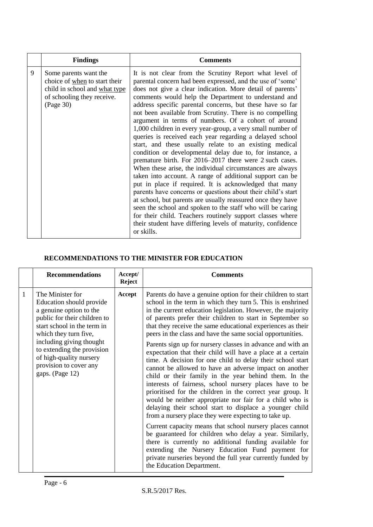|   | <b>Findings</b>                                                                                                                    | <b>Comments</b>                                                                                                                                                                                                                                                                                                                                                                                                                                                                                                                                                                                                                                                                                                                                                                                                                                                                                                                                                                                                                                                                                                                                                                                                                                                |
|---|------------------------------------------------------------------------------------------------------------------------------------|----------------------------------------------------------------------------------------------------------------------------------------------------------------------------------------------------------------------------------------------------------------------------------------------------------------------------------------------------------------------------------------------------------------------------------------------------------------------------------------------------------------------------------------------------------------------------------------------------------------------------------------------------------------------------------------------------------------------------------------------------------------------------------------------------------------------------------------------------------------------------------------------------------------------------------------------------------------------------------------------------------------------------------------------------------------------------------------------------------------------------------------------------------------------------------------------------------------------------------------------------------------|
| 9 | Some parents want the<br>choice of when to start their<br>child in school and what type<br>of schooling they receive.<br>(Page 30) | It is not clear from the Scrutiny Report what level of<br>parental concern had been expressed, and the use of 'some'<br>does not give a clear indication. More detail of parents'<br>comments would help the Department to understand and<br>address specific parental concerns, but these have so far<br>not been available from Scrutiny. There is no compelling<br>argument in terms of numbers. Of a cohort of around<br>1,000 children in every year-group, a very small number of<br>queries is received each year regarding a delayed school<br>start, and these usually relate to an existing medical<br>condition or developmental delay due to, for instance, a<br>premature birth. For 2016–2017 there were 2 such cases.<br>When these arise, the individual circumstances are always<br>taken into account. A range of additional support can be<br>put in place if required. It is acknowledged that many<br>parents have concerns or questions about their child's start<br>at school, but parents are usually reassured once they have<br>seen the school and spoken to the staff who will be caring<br>for their child. Teachers routinely support classes where<br>their student have differing levels of maturity, confidence<br>or skills. |

### **RECOMMENDATIONS TO THE MINISTER FOR EDUCATION**

|              | <b>Recommendations</b>                                                                                                                                                                                                                                                                            | Accept/<br><b>Reject</b> | <b>Comments</b>                                                                                                                                                                                                                                                                                                                                                                                                                                                                                                                                                                                                                                                                                                                                                                                                                                                                                                                                                                                                                                                                                                                                                                                                                                                                                                                           |
|--------------|---------------------------------------------------------------------------------------------------------------------------------------------------------------------------------------------------------------------------------------------------------------------------------------------------|--------------------------|-------------------------------------------------------------------------------------------------------------------------------------------------------------------------------------------------------------------------------------------------------------------------------------------------------------------------------------------------------------------------------------------------------------------------------------------------------------------------------------------------------------------------------------------------------------------------------------------------------------------------------------------------------------------------------------------------------------------------------------------------------------------------------------------------------------------------------------------------------------------------------------------------------------------------------------------------------------------------------------------------------------------------------------------------------------------------------------------------------------------------------------------------------------------------------------------------------------------------------------------------------------------------------------------------------------------------------------------|
| $\mathbf{1}$ | The Minister for<br>Education should provide<br>a genuine option to the<br>public for their children to<br>start school in the term in<br>which they turn five,<br>including giving thought<br>to extending the provision<br>of high-quality nursery<br>provision to cover any<br>gaps. (Page 12) | Accept                   | Parents do have a genuine option for their children to start<br>school in the term in which they turn 5. This is enshrined<br>in the current education legislation. However, the majority<br>of parents prefer their children to start in September so<br>that they receive the same educational experiences as their<br>peers in the class and have the same social opportunities.<br>Parents sign up for nursery classes in advance and with an<br>expectation that their child will have a place at a certain<br>time. A decision for one child to delay their school start<br>cannot be allowed to have an adverse impact on another<br>child or their family in the year behind them. In the<br>interests of fairness, school nursery places have to be<br>prioritised for the children in the correct year group. It<br>would be neither appropriate nor fair for a child who is<br>delaying their school start to displace a younger child<br>from a nursery place they were expecting to take up.<br>Current capacity means that school nursery places cannot<br>be guaranteed for children who delay a year. Similarly,<br>there is currently no additional funding available for<br>extending the Nursery Education Fund payment for<br>private nurseries beyond the full year currently funded by<br>the Education Department. |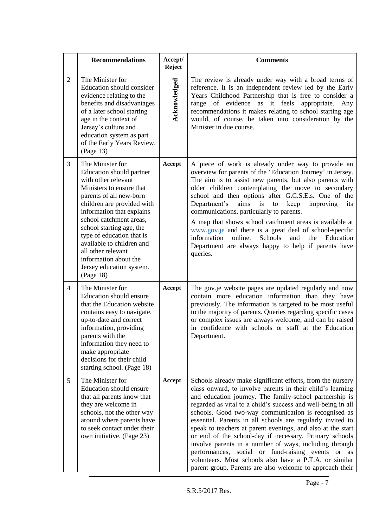|                | <b>Recommendations</b>                                                                                                                                                                                                                                                                                                                                                                         | Accept/<br><b>Reject</b> | <b>Comments</b>                                                                                                                                                                                                                                                                                                                                                                                                                                                                                                                                                                                                                                                                                                                         |
|----------------|------------------------------------------------------------------------------------------------------------------------------------------------------------------------------------------------------------------------------------------------------------------------------------------------------------------------------------------------------------------------------------------------|--------------------------|-----------------------------------------------------------------------------------------------------------------------------------------------------------------------------------------------------------------------------------------------------------------------------------------------------------------------------------------------------------------------------------------------------------------------------------------------------------------------------------------------------------------------------------------------------------------------------------------------------------------------------------------------------------------------------------------------------------------------------------------|
| $\overline{2}$ | The Minister for<br>Education should consider<br>evidence relating to the<br>benefits and disadvantages<br>of a later school starting<br>age in the context of<br>Jersey's culture and<br>education system as part<br>of the Early Years Review.<br>(Page 13)                                                                                                                                  | Acknowledged             | The review is already under way with a broad terms of<br>reference. It is an independent review led by the Early<br>Years Childhood Partnership that is free to consider a<br>of evidence as it feels<br>range<br>appropriate.<br>Any<br>recommendations it makes relating to school starting age<br>would, of course, be taken into consideration by the<br>Minister in due course.                                                                                                                                                                                                                                                                                                                                                    |
| 3              | The Minister for<br>Education should partner<br>with other relevant<br>Ministers to ensure that<br>parents of all new-born<br>children are provided with<br>information that explains<br>school catchment areas,<br>school starting age, the<br>type of education that is<br>available to children and<br>all other relevant<br>information about the<br>Jersey education system.<br>(Page 18) | Accept                   | A piece of work is already under way to provide an<br>overview for parents of the 'Education Journey' in Jersey.<br>The aim is to assist new parents, but also parents with<br>older children contemplating the move to secondary<br>school and then options after G.C.S.E.s. One of the<br>Department's<br>aims<br>is<br>improving<br>to<br>keep<br>its<br>communications, particularly to parents.<br>A map that shows school catchment areas is available at<br>www.gov.je and there is a great deal of school-specific<br>information<br>online.<br>Schools<br>and<br>Education<br>the<br>Department are always happy to help if parents have<br>queries.                                                                           |
| $\overline{4}$ | The Minister for<br>Education should ensure<br>that the Education website<br>contains easy to navigate,<br>up-to-date and correct<br>information, providing<br>parents with the<br>information they need to<br>make appropriate<br>decisions for their child<br>starting school. (Page 18)                                                                                                     | Accept                   | The gov.je website pages are updated regularly and now<br>contain more education information than they have<br>previously. The information is targeted to be most useful<br>to the majority of parents. Queries regarding specific cases<br>or complex issues are always welcome, and can be raised<br>in confidence with schools or staff at the Education<br>Department.                                                                                                                                                                                                                                                                                                                                                              |
| 5              | The Minister for<br>Education should ensure<br>that all parents know that<br>they are welcome in<br>schools, not the other way<br>around where parents have<br>to seek contact under their<br>own initiative. (Page 23)                                                                                                                                                                        | Accept                   | Schools already make significant efforts, from the nursery<br>class onward, to involve parents in their child's learning<br>and education journey. The family-school partnership is<br>regarded as vital to a child's success and well-being in all<br>schools. Good two-way communication is recognised as<br>essential. Parents in all schools are regularly invited to<br>speak to teachers at parent evenings, and also at the start<br>or end of the school-day if necessary. Primary schools<br>involve parents in a number of ways, including through<br>performances, social or fund-raising events or as<br>volunteers. Most schools also have a P.T.A. or similar<br>parent group. Parents are also welcome to approach their |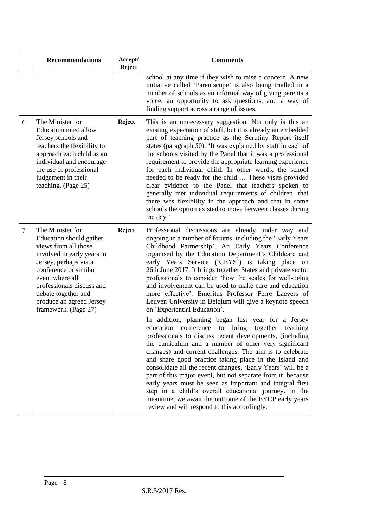|   | <b>Recommendations</b>                                                                                                                                                                                                                                                         | Accept/<br><b>Reject</b> | <b>Comments</b>                                                                                                                                                                                                                                                                                                                                                                                                                                                                                                                                                                                                                                                                                                                                                                                                                                                                                                                                                                                                                                                                                                                                                                                                                                                                                                                                              |
|---|--------------------------------------------------------------------------------------------------------------------------------------------------------------------------------------------------------------------------------------------------------------------------------|--------------------------|--------------------------------------------------------------------------------------------------------------------------------------------------------------------------------------------------------------------------------------------------------------------------------------------------------------------------------------------------------------------------------------------------------------------------------------------------------------------------------------------------------------------------------------------------------------------------------------------------------------------------------------------------------------------------------------------------------------------------------------------------------------------------------------------------------------------------------------------------------------------------------------------------------------------------------------------------------------------------------------------------------------------------------------------------------------------------------------------------------------------------------------------------------------------------------------------------------------------------------------------------------------------------------------------------------------------------------------------------------------|
|   |                                                                                                                                                                                                                                                                                |                          | school at any time if they wish to raise a concern. A new<br>initiative called 'Parentscope' is also being trialled in a<br>number of schools as an informal way of giving parents a<br>voice, an opportunity to ask questions, and a way of<br>finding support across a range of issues.                                                                                                                                                                                                                                                                                                                                                                                                                                                                                                                                                                                                                                                                                                                                                                                                                                                                                                                                                                                                                                                                    |
| 6 | The Minister for<br><b>Education must allow</b><br>Jersey schools and<br>teachers the flexibility to<br>approach each child as an<br>individual and encourage<br>the use of professional<br>judgement in their<br>teaching. (Page 25)                                          | <b>Reject</b>            | This is an unnecessary suggestion. Not only is this an<br>existing expectation of staff, but it is already an embedded<br>part of teaching practice as the Scrutiny Report itself<br>states (paragraph 50): 'It was explained by staff in each of<br>the schools visited by the Panel that it was a professional<br>requirement to provide the appropriate learning experience<br>for each individual child. In other words, the school<br>needed to be ready for the child  These visits provided<br>clear evidence to the Panel that teachers spoken to<br>generally met individual requirements of children, that<br>there was flexibility in the approach and that in some<br>schools the option existed to move between classes during<br>the day.'                                                                                                                                                                                                                                                                                                                                                                                                                                                                                                                                                                                                     |
| 7 | The Minister for<br>Education should gather<br>views from all those<br>involved in early years in<br>Jersey, perhaps via a<br>conference or similar<br>event where all<br>professionals discuss and<br>debate together and<br>produce an agreed Jersey<br>framework. (Page 27) | <b>Reject</b>            | Professional discussions are already under way and<br>ongoing in a number of forums, including the 'Early Years<br>Childhood Partnership'. An Early Years Conference<br>organised by the Education Department's Childcare and<br>early Years Service ('CEYS') is taking place on<br>26th June 2017. It brings together States and private sector<br>professionals to consider 'how the scales for well-being<br>and involvement can be used to make care and education<br>more effective'. Emeritus Professor Ferre Laevers of<br>Leuven University in Belgium will give a keynote speech<br>on 'Experiential Education'.<br>In addition, planning began last year for<br>a Jersey<br>conference<br>education<br>bring<br>together<br>to<br>teaching<br>professionals to discuss recent developments, (including<br>the curriculum and a number of other very significant<br>changes) and current challenges. The aim is to celebrate<br>and share good practice taking place in the Island and<br>consolidate all the recent changes. 'Early Years' will be a<br>part of this major event, but not separate from it, because<br>early years must be seen as important and integral first<br>step in a child's overall educational journey. In the<br>meantime, we await the outcome of the EYCP early years<br>review and will respond to this accordingly. |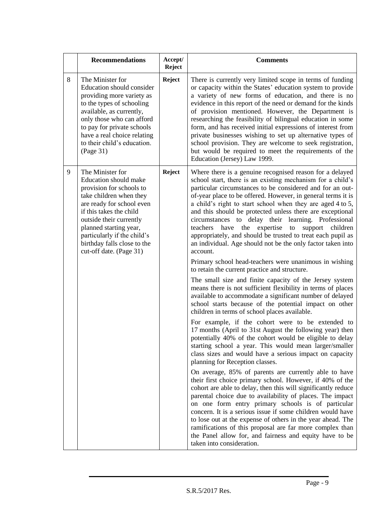|   | <b>Recommendations</b>                                                                                                                                                                                                                                                                                        | Accept/<br><b>Reject</b> | <b>Comments</b>                                                                                                                                                                                                                                                                                                                                                                                                                                                                                                                                                                                                                                                                                 |
|---|---------------------------------------------------------------------------------------------------------------------------------------------------------------------------------------------------------------------------------------------------------------------------------------------------------------|--------------------------|-------------------------------------------------------------------------------------------------------------------------------------------------------------------------------------------------------------------------------------------------------------------------------------------------------------------------------------------------------------------------------------------------------------------------------------------------------------------------------------------------------------------------------------------------------------------------------------------------------------------------------------------------------------------------------------------------|
| 8 | The Minister for<br>Education should consider<br>providing more variety as<br>to the types of schooling<br>available, as currently,<br>only those who can afford<br>to pay for private schools<br>have a real choice relating<br>to their child's education.<br>(Page 31)                                     | <b>Reject</b>            | There is currently very limited scope in terms of funding<br>or capacity within the States' education system to provide<br>a variety of new forms of education, and there is no<br>evidence in this report of the need or demand for the kinds<br>of provision mentioned. However, the Department is<br>researching the feasibility of bilingual education in some<br>form, and has received initial expressions of interest from<br>private businesses wishing to set up alternative types of<br>school provision. They are welcome to seek registration,<br>but would be required to meet the requirements of the<br>Education (Jersey) Law 1999.                                             |
| 9 | The Minister for<br><b>Education should make</b><br>provision for schools to<br>take children when they<br>are ready for school even<br>if this takes the child<br>outside their currently<br>planned starting year,<br>particularly if the child's<br>birthday falls close to the<br>cut-off date. (Page 31) | <b>Reject</b>            | Where there is a genuine recognised reason for a delayed<br>school start, there is an existing mechanism for a child's<br>particular circumstances to be considered and for an out-<br>of-year place to be offered. However, in general terms it is<br>a child's right to start school when they are aged 4 to 5,<br>and this should be protected unless there are exceptional<br>circumstances to delay their learning. Professional<br>teachers have the expertise<br>to support children<br>appropriately, and should be trusted to treat each pupil as<br>an individual. Age should not be the only factor taken into<br>account.<br>Primary school head-teachers were unanimous in wishing |
|   |                                                                                                                                                                                                                                                                                                               |                          | to retain the current practice and structure.<br>The small size and finite capacity of the Jersey system<br>means there is not sufficient flexibility in terms of places<br>available to accommodate a significant number of delayed<br>school starts because of the potential impact on other<br>children in terms of school places available.<br>For example, if the cohort were to be extended to<br>17 months (April to 31st August the following year) then<br>potentially 40% of the cohort would be eligible to delay<br>starting school a year. This would mean larger/smaller                                                                                                          |
|   |                                                                                                                                                                                                                                                                                                               |                          | class sizes and would have a serious impact on capacity<br>planning for Reception classes.<br>On average, 85% of parents are currently able to have<br>their first choice primary school. However, if 40% of the<br>cohort are able to delay, then this will significantly reduce<br>parental choice due to availability of places. The impact<br>on one form entry primary schools is of particular<br>concern. It is a serious issue if some children would have<br>to lose out at the expense of others in the year ahead. The<br>ramifications of this proposal are far more complex than<br>the Panel allow for, and fairness and equity have to be<br>taken into consideration.           |